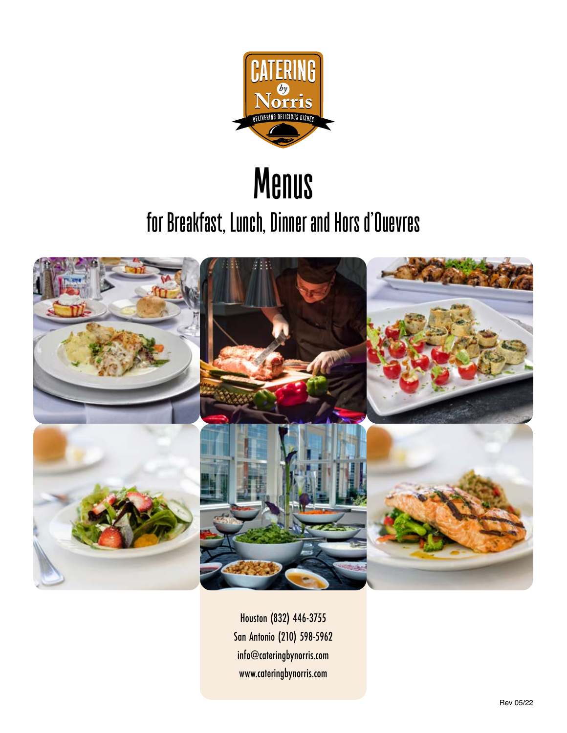

# **Menus for Breakfast, Lunch, Dinner and Hors d'Ouevres**



Houston (832) 446-3755 San Antonio (210) 598-5962 info@cateringbynorris.com www.cateringbynorris.com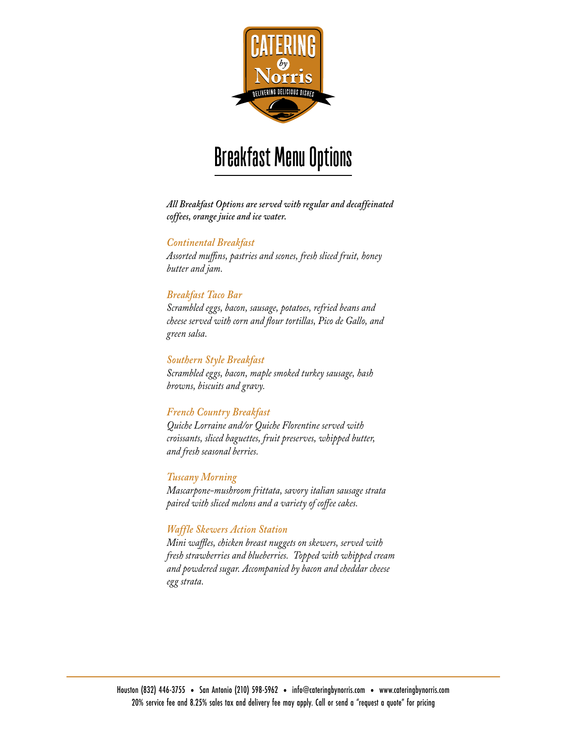

# **Breakfast Menu Options**

*All Breakfast Options are served with regular and decaffeinated coffees, orange juice and ice water.*

#### *Continental Breakfast*

*Assorted muffins, pastries and scones, fresh sliced fruit, honey butter and jam.*

#### *Breakfast Taco Bar*

*Scrambled eggs, bacon, sausage, potatoes, refried beans and cheese served with corn and flour tortillas, Pico de Gallo, and green salsa.*

#### *Southern Style Breakfast*

*Scrambled eggs, bacon, maple smoked turkey sausage, hash browns, biscuits and gravy.*

#### *French Country Breakfast*

*Quiche Lorraine and/or Quiche Florentine served with croissants, sliced baguettes, fruit preserves, whipped butter, and fresh seasonal berries.*

#### *Tuscany Morning*

*Mascarpone-mushroom frittata, savory italian sausage strata paired with sliced melons and a variety of coffee cakes.*

#### *Waffle Skewers Action Station*

*Mini waffles, chicken breast nuggets on skewers, served with fresh strawberries and blueberries. Topped with whipped cream and powdered sugar. Accompanied by bacon and cheddar cheese egg strata.*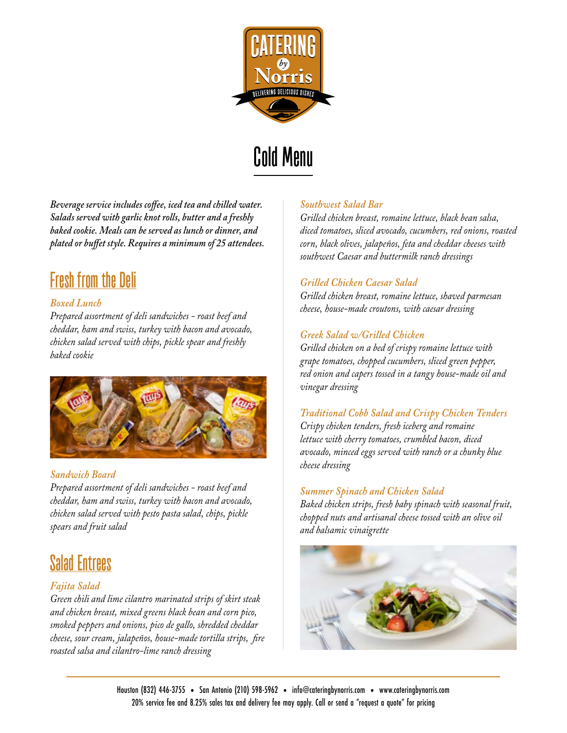

# **Cold Menu**

*Beverage service includes coffee, iced tea and chilled water. Salads served with garlic knot rolls, butter and a freshly baked cookie. Meals can be served as lunch or dinner, and plated or buffet style. Requires a minimum of 25 attendees.*

### **Fresh from the Deli**

### *Boxed Lunch*

*Prepared assortment of deli sandwiches - roast beef and cheddar, ham and swiss, turkey with bacon and avocado, chicken salad served with chips, pickle spear and freshly baked cookie*



### *Sandwich Board*

*Prepared assortment of deli sandwiches - roast beef and cheddar, ham and swiss, turkey with bacon and avocado, chicken salad served with pesto pasta salad, chips, pickle spears and fruit salad*

## **Salad Entrees**

### *Fajita Salad*

*Green chili and lime cilantro marinated strips of skirt steak and chicken breast, mixed greens black bean and corn pico, smoked peppers and onions, pico de gallo, shredded cheddar cheese, sour cream, jalapeños, house-made tortilla strips, fire roasted salsa and cilantro-lime ranch dressing*

#### *Southwest Salad Bar*

*Grilled chicken breast, romaine lettuce, black bean salsa, diced tomatoes, sliced avocado, cucumbers, red onions, roasted corn, black olives, jalapeños, feta and cheddar cheeses with southwest Caesar and buttermilk ranch dressings*

#### *Grilled Chicken Caesar Salad*

*Grilled chicken breast, romaine lettuce, shaved parmesan cheese, house-made croutons, with caesar dressing* 

### *Greek Salad w/Grilled Chicken*

*Grilled chicken on a bed of crispy romaine lettuce with grape tomatoes, chopped cucumbers, sliced green pepper, red onion and capers tossed in a tangy house-made oil and vinegar dressing*

*Traditional Cobb Salad and Crispy Chicken Tenders Crispy chicken tenders, fresh iceberg and romaine lettuce with cherry tomatoes, crumbled bacon, diced avocado, minced eggs served with ranch or a chunky blue cheese dressing* 

### *Summer Spinach and Chicken Salad*

*Baked chicken strips, fresh baby spinach with seasonal fruit, chopped nuts and artisanal cheese tossed with an olive oil and balsamic vinaigrette*

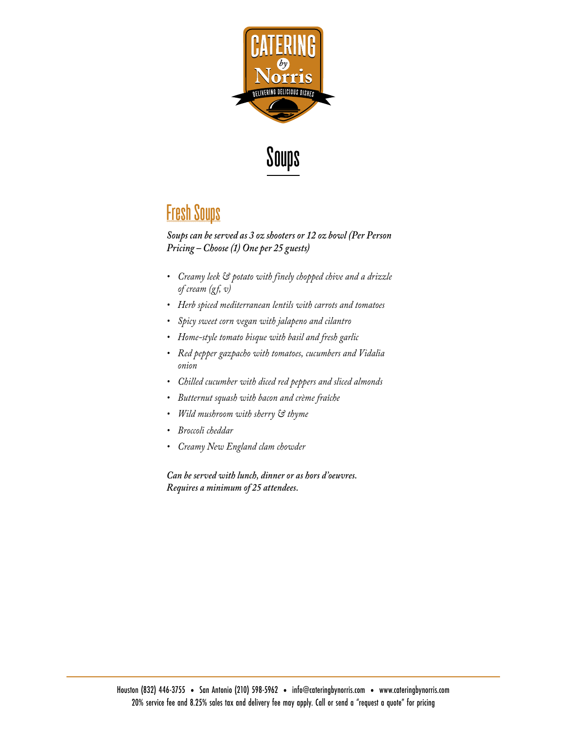



### **Fresh Soups**

*Soups can be served as 3 oz shooters or 12 oz bowl (Per Person Pricing – Choose (1) One per 25 guests)*

- *• Creamy leek & potato with finely chopped chive and a drizzle of cream (gf, v)*
- *• Herb spiced mediterranean lentils with carrots and tomatoes*
- *• Spicy sweet corn vegan with jalapeno and cilantro*
- *• Home-style tomato bisque with basil and fresh garlic*
- *• Red pepper gazpacho with tomatoes, cucumbers and Vidalia onion*
- *• Chilled cucumber with diced red peppers and sliced almonds*
- *• Butternut squash with bacon and crème fraîche*
- *• Wild mushroom with sherry & thyme*
- *• Broccoli cheddar*
- *• Creamy New England clam chowder*

*Can be served with lunch, dinner or as hors d'oeuvres. Requires a minimum of 25 attendees.*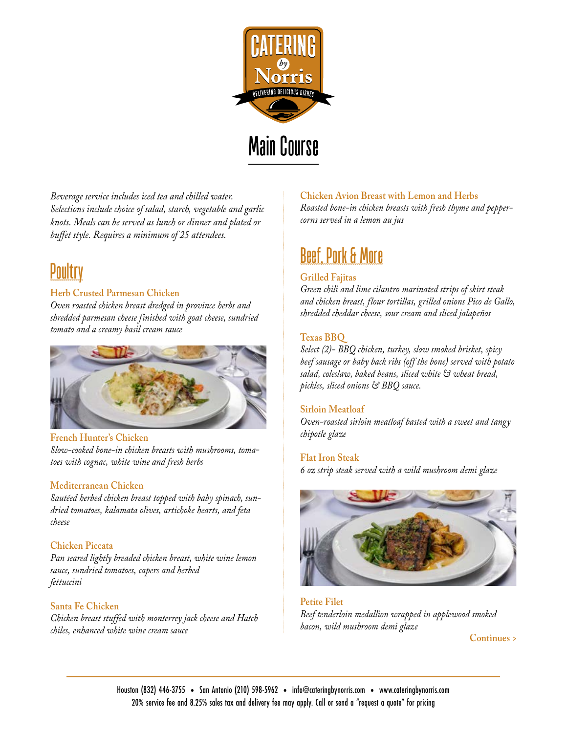

# **Main Course**

*Beverage service includes iced tea and chilled water. Selections include choice of salad, starch, vegetable and garlic knots. Meals can be served as lunch or dinner and plated or buffet style. Requires a minimum of 25 attendees.*

# **Poultry**

#### **Herb Crusted Parmesan Chicken**

*Oven roasted chicken breast dredged in province herbs and shredded parmesan cheese finished with goat cheese, sundried tomato and a creamy basil cream sauce*



**French Hunter's Chicken** *Slow-cooked bone-in chicken breasts with mushrooms, tomatoes with cognac, white wine and fresh herbs*

#### **Mediterranean Chicken**

*Sautéed herbed chicken breast topped with baby spinach, sundried tomatoes, kalamata olives, artichoke hearts, and feta cheese*

#### **Chicken Piccata**

*Pan seared lightly breaded chicken breast, white wine lemon sauce, sundried tomatoes, capers and herbed fettuccini*

#### **Santa Fe Chicken**

*Chicken breast stuffed with monterrey jack cheese and Hatch chiles, enhanced white wine cream sauce*

#### **Chicken Avion Breast with Lemon and Herbs**

*Roasted bone-in chicken breasts with fresh thyme and peppercorns served in a lemon au jus*

# **Beef, Pork & More**

#### **Grilled Fajitas**

*Green chili and lime cilantro marinated strips of skirt steak and chicken breast, flour tortillas, grilled onions Pico de Gallo, shredded cheddar cheese, sour cream and sliced jalapeños*

#### **Texas BBQ**

*Select (2)- BBQ chicken, turkey, slow smoked brisket, spicy beef sausage or baby back ribs (off the bone) served with potato salad, coleslaw, baked beans, sliced white & wheat bread, pickles, sliced onions & BBQ sauce.*

#### **Sirloin Meatloaf**

*Oven-roasted sirloin meatloaf basted with a sweet and tangy chipotle glaze*

#### **Flat Iron Steak**

*6 oz strip steak served with a wild mushroom demi glaze*



**Petite Filet** *Beef tenderloin medallion wrapped in applewood smoked bacon, wild mushroom demi glaze*

**Continues >**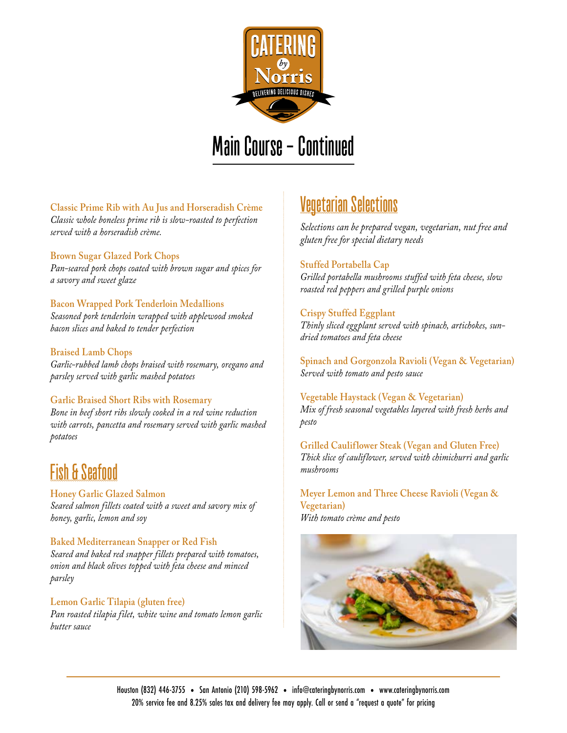

# **Main Course - Continued**

**Classic Prime Rib with Au Jus and Horseradish Crème** *Classic whole boneless prime rib is slow-roasted to perfection served with a horseradish crème.*

**Brown Sugar Glazed Pork Chops**

*Pan-seared pork chops coated with brown sugar and spices for a savory and sweet glaze*

**Bacon Wrapped Pork Tenderloin Medallions** *Seasoned pork tenderloin wrapped with applewood smoked bacon slices and baked to tender perfection*

#### **Braised Lamb Chops**

*Garlic-rubbed lamb chops braised with rosemary, oregano and parsley served with garlic mashed potatoes*

#### **Garlic Braised Short Ribs with Rosemary**

*Bone in beef short ribs slowly cooked in a red wine reduction with carrots, pancetta and rosemary served with garlic mashed potatoes*

## **Fish & Seafood**

**Honey Garlic Glazed Salmon**  *Seared salmon fillets coated with a sweet and savory mix of honey, garlic, lemon and soy*

**Baked Mediterranean Snapper or Red Fish** *Seared and baked red snapper fillets prepared with tomatoes, onion and black olives topped with feta cheese and minced parsley*

#### **Lemon Garlic Tilapia (gluten free)**

*Pan roasted tilapia filet, white wine and tomato lemon garlic butter sauce* 

## **Vegetarian Selections**

*Selections can be prepared vegan, vegetarian, nut free and gluten free for special dietary needs*

#### **Stuffed Portabella Cap**

*Grilled portabella mushrooms stuffed with feta cheese, slow roasted red peppers and grilled purple onions*

#### **Crispy Stuffed Eggplant**

*Thinly sliced eggplant served with spinach, artichokes, sundried tomatoes and feta cheese*

**Spinach and Gorgonzola Ravioli (Vegan & Vegetarian)** *Served with tomato and pesto sauce*

#### **Vegetable Haystack (Vegan & Vegetarian)** *Mix of fresh seasonal vegetables layered with fresh herbs and pesto*

**Grilled Cauliflower Steak (Vegan and Gluten Free)** *Thick slice of cauliflower, served with chimichurri and garlic mushrooms* 

**Meyer Lemon and Three Cheese Ravioli (Vegan & Vegetarian)** *With tomato crème and pesto*

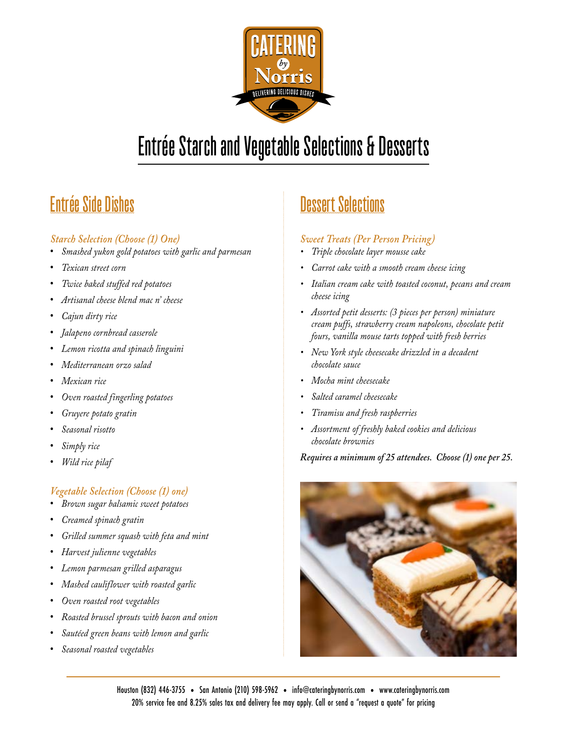

# **Entrée Starch and Vegetable Selections & Desserts**

# **Entrée Side Dishes**

### *Starch Selection (Choose (1) One)*

- **•** *Smashed yukon gold potatoes with garlic and parmesan*
- **•** *Texican street corn*
- **•** *Twice baked stuffed red potatoes*
- **•** *Artisanal cheese blend mac n' cheese*
- **•** *Cajun dirty rice*
- **•** *Jalapeno cornbread casserole*
- **•** *Lemon ricotta and spinach linguini*
- **•** *Mediterranean orzo salad*
- **•** *Mexican rice*
- **•** *Oven roasted fingerling potatoes*
- **•** *Gruyere potato gratin*
- **•** *Seasonal risotto*
- **•** *Simply rice*
- **•** *Wild rice pilaf*

### *Vegetable Selection (Choose (1) one)*

- **•** *Brown sugar balsamic sweet potatoes*
- **•** *Creamed spinach gratin*
- **•** *Grilled summer squash with feta and mint*
- **•** *Harvest julienne vegetables*
- **•** *Lemon parmesan grilled asparagus*
- **•** *Mashed cauliflower with roasted garlic*
- **•** *Oven roasted root vegetables*
- **•** *Roasted brussel sprouts with bacon and onion*
- **•** *Sautéed green beans with lemon and garlic*
- **•** *Seasonal roasted vegetables*

# **Dessert Selections**

### *Sweet Treats (Per Person Pricing)*

- *• Triple chocolate layer mousse cake*
- *• Carrot cake with a smooth cream cheese icing*
- *• Italian cream cake with toasted coconut, pecans and cream cheese icing*
- *• Assorted petit desserts: (3 pieces per person) miniature cream puffs, strawberry cream napoleons, chocolate petit fours, vanilla mouse tarts topped with fresh berries*
- *• New York style cheesecake drizzled in a decadent chocolate sauce*
- *• Mocha mint cheesecake*
- *• Salted caramel cheesecake*
- *• Tiramisu and fresh raspberries*
- *• Assortment of freshly baked cookies and delicious chocolate brownies*

*Requires a minimum of 25 attendees. Choose (1) one per 25.*

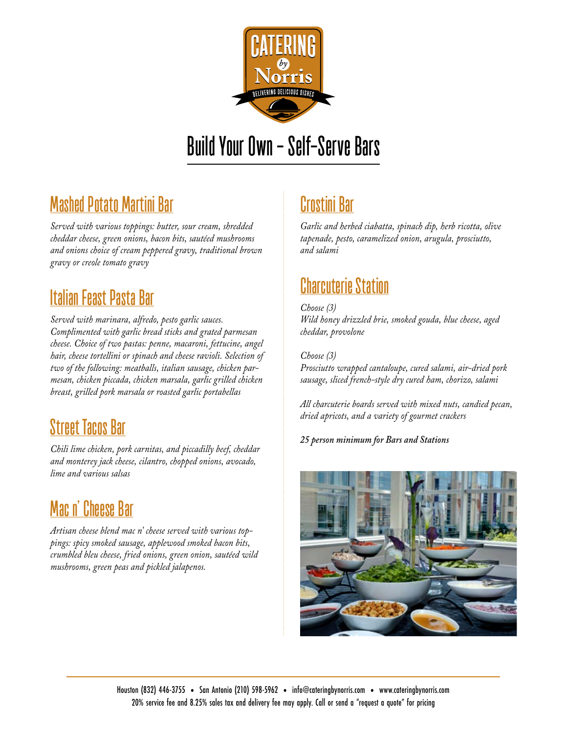

# **Build Your Own - Self-Serve Bars**

## **Mashed Potato Martini Bar**

*Served with various toppings: butter, sour cream, shredded cheddar cheese, green onions, bacon bits, sautéed mushrooms and onions choice of cream peppered gravy, traditional brown gravy or creole tomato gravy*

## **Italian Feast Pasta Bar**

*Served with marinara, alfredo, pesto garlic sauces. Complimented with garlic bread sticks and grated parmesan cheese. Choice of two pastas: penne, macaroni, fettucine, angel hair, cheese tortellini or spinach and cheese ravioli. Selection of two of the following: meatballs, italian sausage, chicken parmesan, chicken piccada, chicken marsala, garlic grilled chicken breast, grilled pork marsala or roasted garlic portabellas*

## **Street Tacos Bar**

*Chili lime chicken, pork carnitas, and piccadilly beef, cheddar and monterey jack cheese, cilantro, chopped onions, avocado, lime and various salsas*

### **Mac n' Cheese Bar**

*Artisan cheese blend mac n' cheese served with various toppings: spicy smoked sausage, applewood smoked bacon bits, crumbled bleu cheese, fried onions, green onion, sautéed wild mushrooms, green peas and pickled jalapenos.*

# **Crostini Bar**

*Garlic and herbed ciabatta, spinach dip, herb ricotta, olive tapenade, pesto, caramelized onion, arugula, prosciutto, and salami*

## **Charcuterie Station**

*Choose (3) Wild honey drizzled brie, smoked gouda, blue cheese, aged cheddar, provolone* 

*Choose (3) Prosciutto wrapped cantaloupe, cured salami, air-dried pork sausage, sliced french-style dry cured ham, chorizo, salami* 

*All charcuterie boards served with mixed nuts, candied pecan, dried apricots, and a variety of gourmet crackers*

*25 person minimum for Bars and Stations*

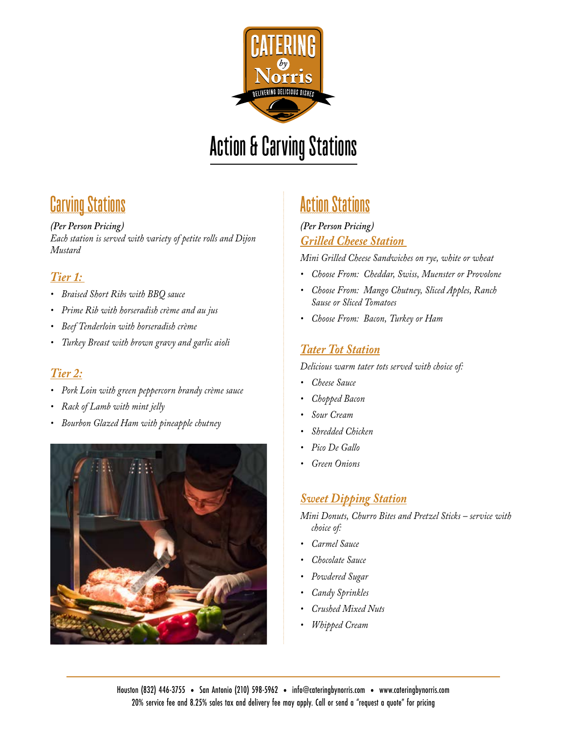

# **Action & Carving Stations**

## **Carving Stations**

#### *(Per Person Pricing)*

*Each station is served with variety of petite rolls and Dijon Mustard* 

### *Tier 1:*

- *• Braised Short Ribs with BBQ sauce*
- *• Prime Rib with horseradish crème and au jus*
- *• Beef Tenderloin with horseradish crème*
- *• Turkey Breast with brown gravy and garlic aioli*

### *Tier 2:*

- *• Pork Loin with green peppercorn brandy crème sauce*
- *• Rack of Lamb with mint jelly*
- *• Bourbon Glazed Ham with pineapple chutney*



### **Action Stations**

### *(Per Person Pricing) Grilled Cheese Station*

*Mini Grilled Cheese Sandwiches on rye, white or wheat*

- *• Choose From: Cheddar, Swiss, Muenster or Provolone*
- *• Choose From: Mango Chutney, Sliced Apples, Ranch Sause or Sliced Tomatoes*
- *• Choose From: Bacon, Turkey or Ham*

### *Tater Tot Station*

*Delicious warm tater tots served with choice of:*

- *• Cheese Sauce*
- *• Chopped Bacon*
- *• Sour Cream*
- *• Shredded Chicken*
- *• Pico De Gallo*
- *• Green Onions*

### *Sweet Dipping Station*

*Mini Donuts, Churro Bites and Pretzel Sticks – service with choice of:*

- *• Carmel Sauce*
- *• Chocolate Sauce*
- *• Powdered Sugar*
- *• Candy Sprinkles*
- *• Crushed Mixed Nuts*
- *• Whipped Cream*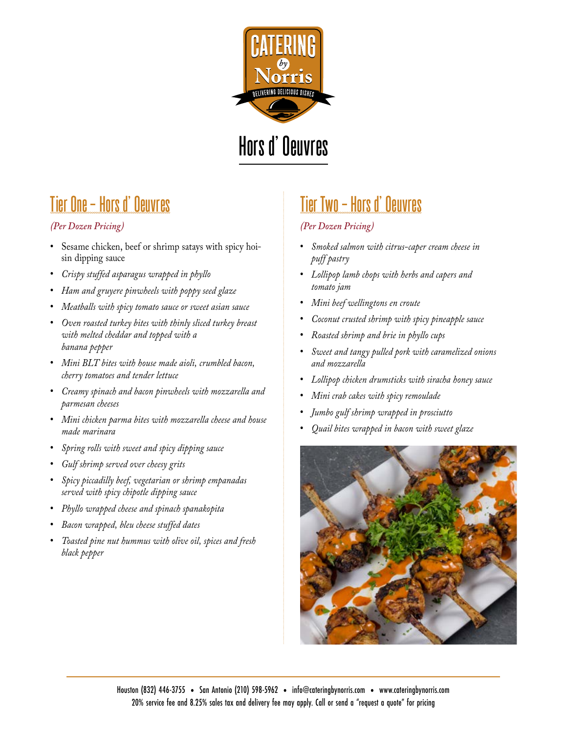

# **Hors d' Oeuvres**

## **Tier One - Hors d' Oeuvres**

### *(Per Dozen Pricing)*

- **•** Sesame chicken, beef or shrimp satays with spicy hoisin dipping sauce
- **•** *Crispy stuffed asparagus wrapped in phyllo*
- **•** *Ham and gruyere pinwheels with poppy seed glaze*
- **•** *Meatballs with spicy tomato sauce or sweet asian sauce*
- **•** *Oven roasted turkey bites with thinly sliced turkey breast with melted cheddar and topped with a banana pepper*
- **•** *Mini BLT bites with house made aioli, crumbled bacon, cherry tomatoes and tender lettuce*
- **•** *Creamy spinach and bacon pinwheels with mozzarella and parmesan cheeses*
- **•** *Mini chicken parma bites with mozzarella cheese and house made marinara*
- **•** *Spring rolls with sweet and spicy dipping sauce*
- **•** *Gulf shrimp served over cheesy grits*
- **•** *Spicy piccadilly beef, vegetarian or shrimp empanadas served with spicy chipotle dipping sauce*
- **•** *Phyllo wrapped cheese and spinach spanakopita*
- **•** *Bacon wrapped, bleu cheese stuffed dates*
- **•** *Toasted pine nut hummus with olive oil, spices and fresh black pepper*

## **Tier Two - Hors d' Oeuvres**

### *(Per Dozen Pricing)*

- **•** *Smoked salmon with citrus-caper cream cheese in puff pastry*
- **•** *Lollipop lamb chops with herbs and capers and tomato jam*
- **•** *Mini beef wellingtons en croute*
- **•** *Coconut crusted shrimp with spicy pineapple sauce*
- **•** *Roasted shrimp and brie in phyllo cups*
- **•** *Sweet and tangy pulled pork with caramelized onions and mozzarella*
- **•** *Lollipop chicken drumsticks with siracha honey sauce*
- **•** *Mini crab cakes with spicy remoulade*
- **•** *Jumbo gulf shrimp wrapped in prosciutto*
- **•** *Quail bites wrapped in bacon with sweet glaze*